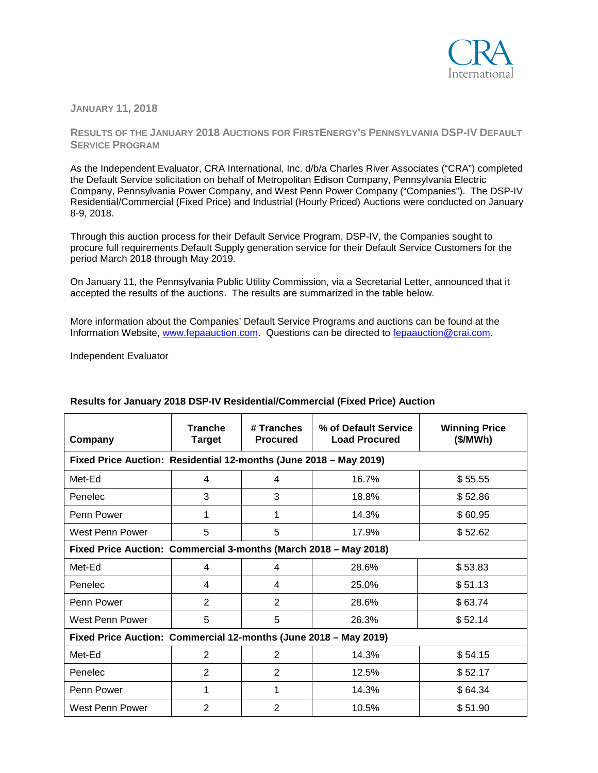

**JANUARY 11, 2018**

**RESULTS OF THE JANUARY 2018 AUCTIONS FOR FIRSTENERGY'S PENNSYLVANIA DSP-IV DEFAULT SERVICE PROGRAM**

As the Independent Evaluator, CRA International, Inc. d/b/a Charles River Associates ("CRA") completed the Default Service solicitation on behalf of Metropolitan Edison Company, Pennsylvania Electric Company, Pennsylvania Power Company, and West Penn Power Company ("Companies"). The DSP-IV Residential/Commercial (Fixed Price) and Industrial (Hourly Priced) Auctions were conducted on January 8-9, 2018.

Through this auction process for their Default Service Program, DSP-IV, the Companies sought to procure full requirements Default Supply generation service for their Default Service Customers for the period March 2018 through May 2019.

On January 11, the Pennsylvania Public Utility Commission, via a Secretarial Letter, announced that it accepted the results of the auctions. The results are summarized in the table below.

More information about the Companies' Default Service Programs and auctions can be found at the Information Website, [www.fepaauction.com.](http://www.fepaauction.com/) Questions can be directed to [fepaauction@crai.com.](mailto:fepaauction@crai.com)

Independent Evaluator

| Company                                                           | Tranche<br><b>Target</b> | # Tranches<br><b>Procured</b> | % of Default Service<br><b>Load Procured</b> | <b>Winning Price</b><br>(\$/MWh) |  |  |
|-------------------------------------------------------------------|--------------------------|-------------------------------|----------------------------------------------|----------------------------------|--|--|
| Fixed Price Auction: Residential 12-months (June 2018 - May 2019) |                          |                               |                                              |                                  |  |  |
| Met-Ed                                                            | 4                        | 4                             | 16.7%                                        | \$55.55                          |  |  |
| Penelec                                                           | 3                        | 3                             | 18.8%                                        | \$52.86                          |  |  |
| Penn Power                                                        | 1                        | 1                             | 14.3%                                        | \$60.95                          |  |  |
| West Penn Power                                                   | 5                        | 5                             | 17.9%                                        | \$52.62                          |  |  |
| Fixed Price Auction: Commercial 3-months (March 2018 - May 2018)  |                          |                               |                                              |                                  |  |  |
| Met-Ed                                                            | 4                        | 4                             | 28.6%                                        | \$53.83                          |  |  |
| Penelec                                                           | 4                        | 4                             | 25.0%                                        | \$51.13                          |  |  |
| Penn Power                                                        | $\overline{2}$           | $\overline{2}$                | 28.6%                                        | \$63.74                          |  |  |
| West Penn Power                                                   | 5                        | 5                             | 26.3%                                        | \$52.14                          |  |  |
| Fixed Price Auction: Commercial 12-months (June 2018 - May 2019)  |                          |                               |                                              |                                  |  |  |
| Met-Ed                                                            | 2                        | $\overline{2}$                | 14.3%                                        | \$54.15                          |  |  |
| Penelec                                                           | $\overline{2}$           | $\overline{2}$                | 12.5%                                        | \$52.17                          |  |  |
| Penn Power                                                        | 1                        | 1                             | 14.3%                                        | \$64.34                          |  |  |
| West Penn Power                                                   | $\overline{2}$           | $\overline{2}$                | 10.5%                                        | \$51.90                          |  |  |

## **Results for January 2018 DSP-IV Residential/Commercial (Fixed Price) Auction**